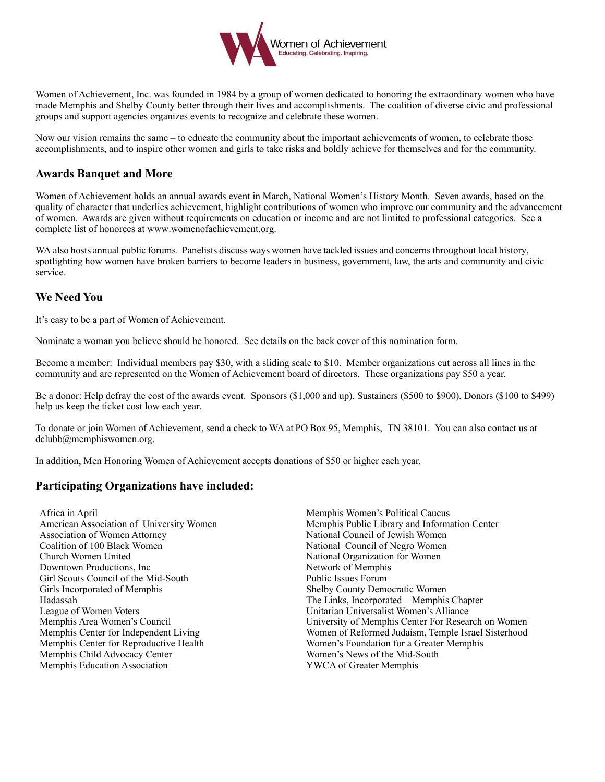

Women of Achievement, Inc. was founded in 1984 by a group of women dedicated to honoring the extraordinary women who have made Memphis and Shelby County better through their lives and accomplishments. The coalition of diverse civic and professional groups and support agencies organizes events to recognize and celebrate these women.

Now our vision remains the same – to educate the community about the important achievements of women, to celebrate those accomplishments, and to inspire other women and girls to take risks and boldly achieve for themselves and for the community.

## **Awards Banquet and More**

Women of Achievement holds an annual awards event in March, National Women's History Month. Seven awards, based on the quality of character that underlies achievement, highlight contributions of women who improve our community and the advancement of women. Awards are given without requirements on education or income and are not limited to professional categories. See a complete list of honorees at www.womenofachievement.org.

WA also hosts annual public forums. Panelists discuss ways women have tackled issues and concerns throughout local history, spotlighting how women have broken barriers to become leaders in business, government, law, the arts and community and civic service.

## **We Need You**

It's easy to be a part of Women of Achievement.

Nominate a woman you believe should be honored. See details on the back cover of this nomination form.

Become a member: Individual members pay \$30, with a sliding scale to \$10. Member organizations cut across all lines in the community and are represented on the Women of Achievement board of directors. These organizations pay \$50 a year.

Be a donor: Help defray the cost of the awards event. Sponsors (\$1,000 and up), Sustainers (\$500 to \$900), Donors (\$100 to \$499) help us keep the ticket cost low each year.

To donate or join Women of Achievement, send a check to WA at PO Box 95, Memphis, TN 38101. You can also contact us at dclubb@memphiswomen.org.

In addition, Men Honoring Women of Achievement accepts donations of \$50 or higher each year.

# **Participating Organizations have included:**

Africa in April American Association of University Women Association of Women Attorney Coalition of 100 Black Women Church Women United Downtown Productions, Inc Girl Scouts Council of the Mid-South Girls Incorporated of Memphis Hadassah League of Women Voters Memphis Area Women's Council Memphis Center for Independent Living Memphis Center for Reproductive Health Memphis Child Advocacy Center Memphis Education Association

Memphis Women's Political Caucus Memphis Public Library and Information Center National Council of Jewish Women National Council of Negro Women National Organization for Women Network of Memphis Public Issues Forum Shelby County Democratic Women The Links, Incorporated – Memphis Chapter Unitarian Universalist Women's Alliance University of Memphis Center For Research on Women Women of Reformed Judaism, Temple Israel Sisterhood Women's Foundation for a Greater Memphis Women's News of the Mid-South YWCA of Greater Memphis